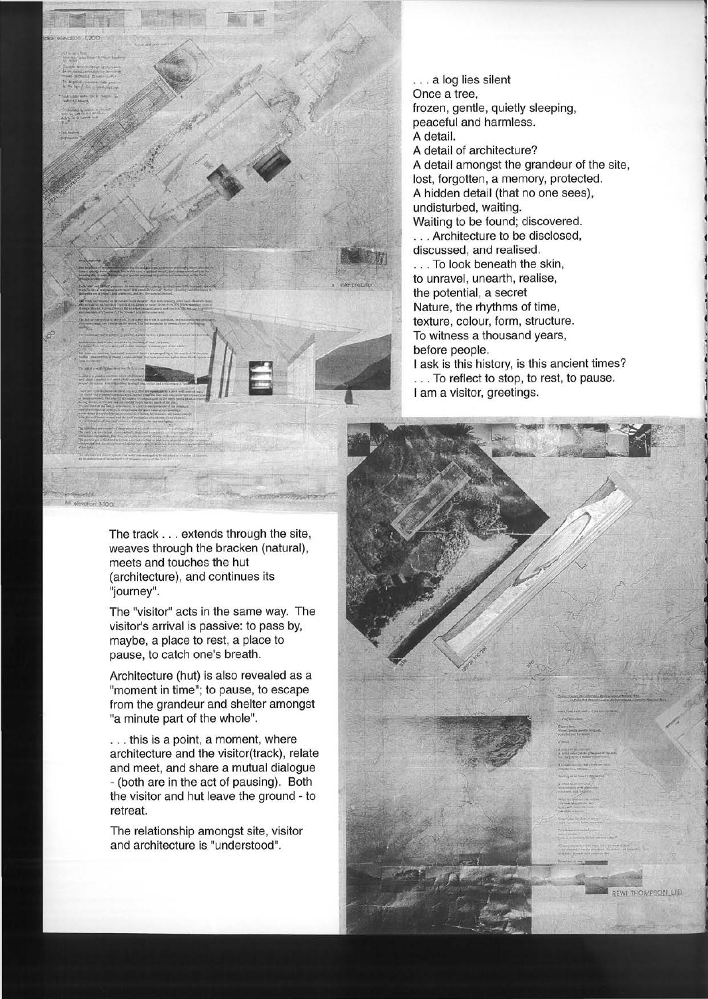.. . a log lies silent Once a tree, frozen, gentle, quietly sleeping, peaceful and harmless. A detail. A detail of architecture?

A detail amongst the grandeur of the site, lost, forgotten, a memory, protected. A hidden detail (that no one sees), undisturbed, waiting. Waiting to be found; discovered.

. . . Architecture to be disclosed, discussed, and realised. . . . To look beneath the skin,

to unravel, unearth, realise, the potential, a secret Nature, the rhythms of time, texture, colour, form, structure. To witness a thousand years, before people. I ask is this history, is this ancient times? ... To reflect to stop, to rest, to pause.

I am a visitor, greetings.

The track ... extends through the site, weaves through the bracken (natural), meets and touches the hut (architecture), and continues its "journey".

The "visitor" acts in the same way. The visitor's arrival is passive: to pass by, maybe, a place to rest, a place to pause, to catch one's breath.

Architecture (hut) is also revealed as a "moment in time"; to pause, to escape from the grandeur and shelter amongst "a minute part of the whole".

. . . this is a point, a moment, where architecture and the visitor(track), relate and meet, and share a mutual dialogue - (both are in the act of pausing). Both the visitor and hut leave the ground - to retreat.

The relationship amongst site, visitor and architecture is "understood".

REWLTHOMPSON LTD.

... ....., \_\_ ~..,,,, ... \_ ""';~-·\_, ·~

=~-=-·---4 -~" ~ ........ ,.-rrt'w.~ ..